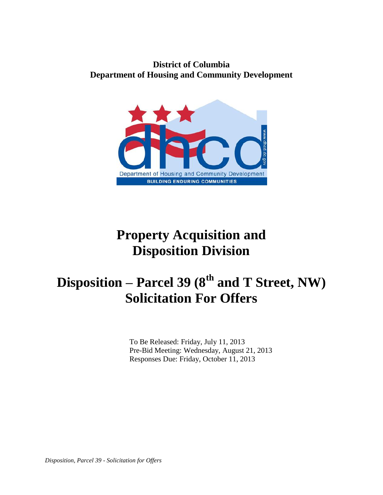# **District of Columbia Department of Housing and Community Development**



# **Property Acquisition and Disposition Division**

# **Disposition – Parcel 39 (8th and T Street, NW) Solicitation For Offers**

 To Be Released: Friday, July 11, 2013 Pre-Bid Meeting: Wednesday, August 21, 2013 Responses Due: Friday, October 11, 2013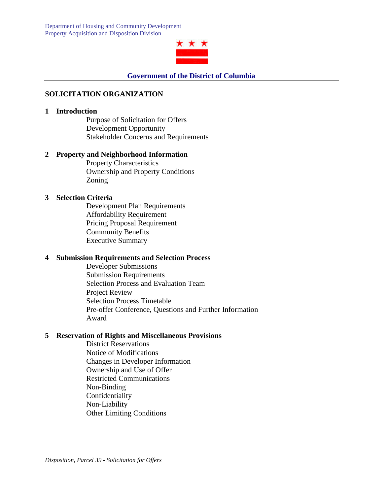

#### **SOLICITATION ORGANIZATION**

#### **1 Introduction**

Purpose of Solicitation for Offers Development Opportunity Stakeholder Concerns and Requirements

#### **2 Property and Neighborhood Information**

Property Characteristics Ownership and Property Conditions Zoning

#### **3 Selection Criteria**

Development Plan Requirements Affordability Requirement Pricing Proposal Requirement Community Benefits Executive Summary

#### **4 Submission Requirements and Selection Process**

Developer Submissions Submission Requirements Selection Process and Evaluation Team Project Review Selection Process Timetable Pre-offer Conference, Questions and Further Information Award

#### **5 Reservation of Rights and Miscellaneous Provisions**

District Reservations Notice of Modifications Changes in Developer Information Ownership and Use of Offer Restricted Communications Non-Binding Confidentiality Non-Liability Other Limiting Conditions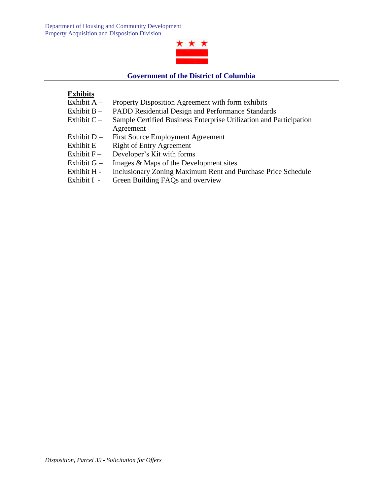

#### **Government of the District of Columbia**

# **Exhibits**

- Exhibit A Property Disposition Agreement with form exhibits
- Exhibit B PADD Residential Design and Performance Standards
- Exhibit C Sample Certified Business Enterprise Utilization and Participation Agreement
- Exhibit D First Source Employment Agreement
- Exhibit  $E -$  Right of Entry Agreement
- Exhibit  $F -$  Developer's Kit with forms
- Exhibit G Images  $&$  Maps of the Development sites
- Exhibit H Inclusionary Zoning Maximum Rent and Purchase Price Schedule
- Exhibit I Green Building FAQs and overview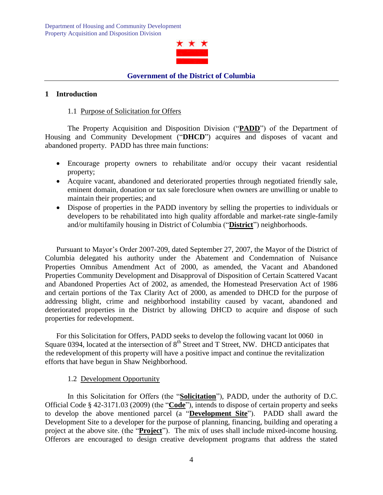

#### **1 Introduction**

#### 1.1 Purpose of Solicitation for Offers

The Property Acquisition and Disposition Division ("**PADD**") of the Department of Housing and Community Development ("**DHCD**") acquires and disposes of vacant and abandoned property. PADD has three main functions:

- Encourage property owners to rehabilitate and/or occupy their vacant residential property;
- Acquire vacant, abandoned and deteriorated properties through negotiated friendly sale, eminent domain, donation or tax sale foreclosure when owners are unwilling or unable to maintain their properties; and
- Dispose of properties in the PADD inventory by selling the properties to individuals or developers to be rehabilitated into high quality affordable and market-rate single-family and/or multifamily housing in District of Columbia ("**District**") neighborhoods.

Pursuant to Mayor's Order 2007-209, dated September 27, 2007, the Mayor of the District of Columbia delegated his authority under the Abatement and Condemnation of Nuisance Properties Omnibus Amendment Act of 2000, as amended, the Vacant and Abandoned Properties Community Development and Disapproval of Disposition of Certain Scattered Vacant and Abandoned Properties Act of 2002, as amended, the Homestead Preservation Act of 1986 and certain portions of the Tax Clarity Act of 2000, as amended to DHCD for the purpose of addressing blight, crime and neighborhood instability caused by vacant, abandoned and deteriorated properties in the District by allowing DHCD to acquire and dispose of such properties for redevelopment.

For this Solicitation for Offers, PADD seeks to develop the following vacant lot 0060 in Square 0394, located at the intersection of 8<sup>th</sup> Street and T Street, NW. DHCD anticipates that the redevelopment of this property will have a positive impact and continue the revitalization efforts that have begun in Shaw Neighborhood.

#### 1.2 Development Opportunity

In this Solicitation for Offers (the "**Solicitation**"), PADD, under the authority of D.C. Official Code § 42-3171.03 (2009) (the "**Code**"), intends to dispose of certain property and seeks to develop the above mentioned parcel (a "**Development Site**"). PADD shall award the Development Site to a developer for the purpose of planning, financing, building and operating a project at the above site. (the "**Project**"). The mix of uses shall include mixed-income housing. Offerors are encouraged to design creative development programs that address the stated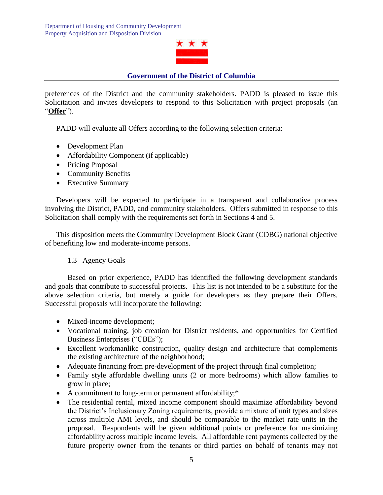

preferences of the District and the community stakeholders. PADD is pleased to issue this Solicitation and invites developers to respond to this Solicitation with project proposals (an "**Offer**").

PADD will evaluate all Offers according to the following selection criteria:

- Development Plan
- Affordability Component (if applicable)
- Pricing Proposal
- Community Benefits
- Executive Summary

Developers will be expected to participate in a transparent and collaborative process involving the District, PADD, and community stakeholders. Offers submitted in response to this Solicitation shall comply with the requirements set forth in Sections 4 and 5.

This disposition meets the Community Development Block Grant (CDBG) national objective of benefiting low and moderate-income persons.

#### 1.3 Agency Goals

Based on prior experience, PADD has identified the following development standards and goals that contribute to successful projects. This list is not intended to be a substitute for the above selection criteria, but merely a guide for developers as they prepare their Offers. Successful proposals will incorporate the following:

- Mixed-income development;
- Vocational training, job creation for District residents, and opportunities for Certified Business Enterprises ("CBEs");
- Excellent workmanlike construction, quality design and architecture that complements the existing architecture of the neighborhood;
- Adequate financing from pre-development of the project through final completion;
- Family style affordable dwelling units (2 or more bedrooms) which allow families to grow in place;
- A commitment to long-term or permanent affordability;\*
- The residential rental, mixed income component should maximize affordability beyond the District's Inclusionary Zoning requirements, provide a mixture of unit types and sizes across multiple AMI levels, and should be comparable to the market rate units in the proposal. Respondents will be given additional points or preference for maximizing affordability across multiple income levels. All affordable rent payments collected by the future property owner from the tenants or third parties on behalf of tenants may not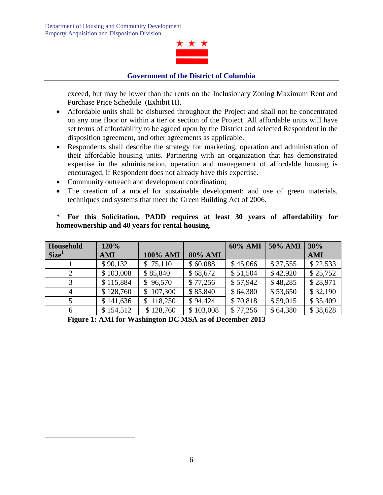

exceed, but may be lower than the rents on the Inclusionary Zoning Maximum Rent and Purchase Price Schedule (Exhibit H).

- Affordable units shall be disbursed throughout the Project and shall not be concentrated on any one floor or within a tier or section of the Project. All affordable units will have set terms of affordability to be agreed upon by the District and selected Respondent in the disposition agreement, and other agreements as applicable.
- Respondents shall describe the strategy for marketing, operation and administration of their affordable housing units. Partnering with an organization that has demonstrated expertise in the administration, operation and management of affordable housing is encouraged, if Respondent does not already have this expertise.
- Community outreach and development coordination;
- The creation of a model for sustainable development; and use of green materials, techniques and systems that meet the Green Building Act of 2006.

| Household         | 120%      |               |                | 60% AMI  | 50% AMI  | 30%        |
|-------------------|-----------|---------------|----------------|----------|----------|------------|
| Size <sup>1</sup> | AMI       | 100% AMI      | <b>80% AMI</b> |          |          | <b>AMI</b> |
|                   | \$90,132  | \$75,110      | \$60,088       | \$45,066 | \$37,555 | \$22,533   |
|                   | \$103,008 | \$85,840      | \$68,672       | \$51,504 | \$42,920 | \$25,752   |
| 3                 | \$115,884 | \$96,570      | \$77,256       | \$57,942 | \$48,285 | \$28,971   |
| 4                 | \$128,760 | 107,300<br>\$ | \$85,840       | \$64,380 | \$53,650 | \$32,190   |
|                   | \$141,636 | 118,250<br>S. | \$94,424       | \$70,818 | \$59,015 | \$35,409   |
| 6                 | \$154,512 | \$128,760     | \$103,008      | \$77,256 | \$64,380 | \$38,628   |

# \* **For this Solicitation, PADD requires at least 30 years of affordability for homeownership and 40 years for rental housing**.

**Figure 1: AMI for Washington DC MSA as of December 2013**

 $\overline{a}$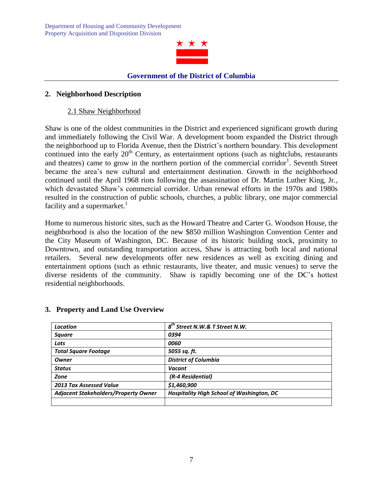

#### **2. Neighborhood Description**

#### 2.1 Shaw Neighborhood

Shaw is one of the oldest communities in the District and experienced significant growth during and immediately following the Civil War. A development boom expanded the District through the neighborhood up to Florida Avenue, then the District's northern boundary. This development continued into the early  $20<sup>th</sup>$  Century, as entertainment options (such as nightclubs, restaurants and theatres) came to grow in the northern portion of the commercial corridor<sup>1</sup>. Seventh Street became the area's new cultural and entertainment destination. Growth in the neighborhood continued until the April 1968 riots following the assassination of Dr. Martin Luther King, Jr., which devastated Shaw's commercial corridor. Urban renewal efforts in the 1970s and 1980s resulted in the construction of public schools, churches, a public library, one major commercial facility and a supermarket.<sup>1</sup>

Home to numerous historic sites, such as the Howard Theatre and Carter G. Woodson House, the neighborhood is also the location of the new \$850 million Washington Convention Center and the City Museum of Washington, DC. Because of its historic building stock, proximity to Downtown, and outstanding transportation access, Shaw is attracting both local and national retailers. Several new developments offer new residences as well as exciting dining and entertainment options (such as ethnic restaurants, live theater, and music venues) to serve the diverse residents of the community. Shaw is rapidly becoming one of the DC's hottest residential neighborhoods.

| <b>Location</b>                             | $8th$ Street N.W.& T Street N.W.          |  |  |
|---------------------------------------------|-------------------------------------------|--|--|
| <b>Square</b>                               | 0394                                      |  |  |
| Lots                                        | 0060                                      |  |  |
| <b>Total Square Footage</b>                 | 5055 sq. ft.                              |  |  |
| <b>Owner</b>                                | <b>District of Columbia</b>               |  |  |
| <b>Status</b>                               | Vacant                                    |  |  |
| Zone                                        | (R-4 Residential)                         |  |  |
| <b>2013 Tax Assessed Value</b>              | \$1,460,900                               |  |  |
| <b>Adjacent Stakeholders/Property Owner</b> | Hospitality High School of Washington, DC |  |  |
|                                             |                                           |  |  |

#### **3. Property and Land Use Overview**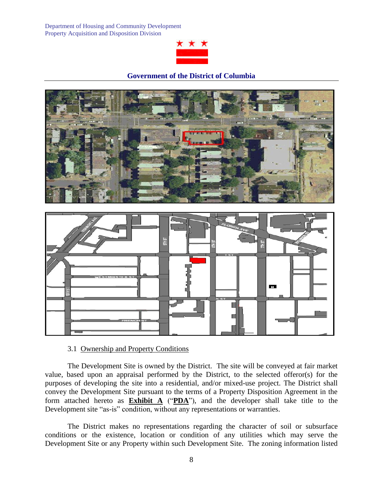

#### **Government of the District of Columbia**





#### 3.1 Ownership and Property Conditions

The Development Site is owned by the District. The site will be conveyed at fair market value, based upon an appraisal performed by the District, to the selected offeror(s) for the purposes of developing the site into a residential, and/or mixed-use project. The District shall convey the Development Site pursuant to the terms of a Property Disposition Agreement in the form attached hereto as **Exhibit A** ("**PDA**"), and the developer shall take title to the Development site "as-is" condition, without any representations or warranties.

The District makes no representations regarding the character of soil or subsurface conditions or the existence, location or condition of any utilities which may serve the Development Site or any Property within such Development Site. The zoning information listed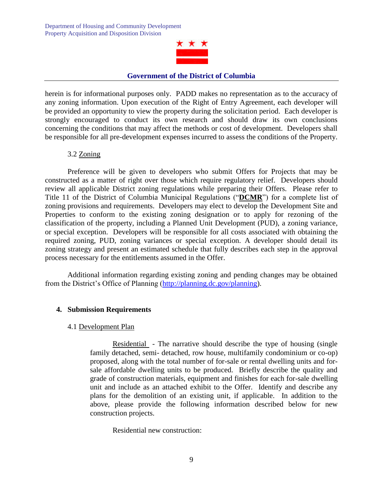

herein is for informational purposes only. PADD makes no representation as to the accuracy of any zoning information. Upon execution of the Right of Entry Agreement, each developer will be provided an opportunity to view the property during the solicitation period. Each developer is strongly encouraged to conduct its own research and should draw its own conclusions concerning the conditions that may affect the methods or cost of development. Developers shall be responsible for all pre-development expenses incurred to assess the conditions of the Property.

#### 3.2 Zoning

Preference will be given to developers who submit Offers for Projects that may be constructed as a matter of right over those which require regulatory relief. Developers should review all applicable District zoning regulations while preparing their Offers. Please refer to Title 11 of the District of Columbia Municipal Regulations ("**DCMR**") for a complete list of zoning provisions and requirements. Developers may elect to develop the Development Site and Properties to conform to the existing zoning designation or to apply for rezoning of the classification of the property, including a Planned Unit Development (PUD), a zoning variance, or special exception. Developers will be responsible for all costs associated with obtaining the required zoning, PUD, zoning variances or special exception. A developer should detail its zoning strategy and present an estimated schedule that fully describes each step in the approval process necessary for the entitlements assumed in the Offer.

Additional information regarding existing zoning and pending changes may be obtained from the District's Office of Planning [\(http://planning.dc.gov/planning\)](http://planning.dc.gov/planning).

#### **4. Submission Requirements**

#### 4.1 Development Plan

Residential - The narrative should describe the type of housing (single family detached, semi- detached, row house, multifamily condominium or co-op) proposed, along with the total number of for-sale or rental dwelling units and forsale affordable dwelling units to be produced. Briefly describe the quality and grade of construction materials, equipment and finishes for each for-sale dwelling unit and include as an attached exhibit to the Offer. Identify and describe any plans for the demolition of an existing unit, if applicable. In addition to the above, please provide the following information described below for new construction projects.

Residential new construction: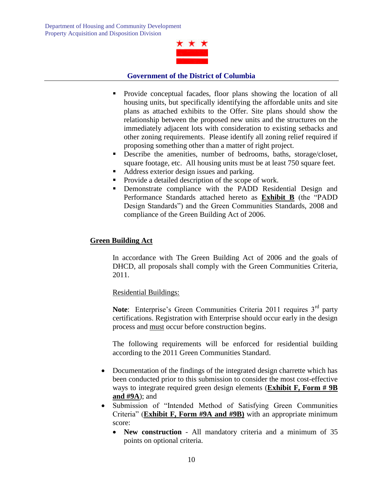

- Provide conceptual facades, floor plans showing the location of all housing units, but specifically identifying the affordable units and site plans as attached exhibits to the Offer. Site plans should show the relationship between the proposed new units and the structures on the immediately adjacent lots with consideration to existing setbacks and other zoning requirements. Please identify all zoning relief required if proposing something other than a matter of right project.
- Describe the amenities, number of bedrooms, baths, storage/closet, square footage, etc. All housing units must be at least 750 square feet.
- Address exterior design issues and parking.
- Provide a detailed description of the scope of work.
- Demonstrate compliance with the PADD Residential Design and Performance Standards attached hereto as **Exhibit B** (the "PADD Design Standards") and the Green Communities Standards, 2008 and compliance of the Green Building Act of 2006.

# **Green Building Act**

In accordance with The Green Building Act of 2006 and the goals of DHCD, all proposals shall comply with the Green Communities Criteria, 2011.

#### Residential Buildings:

**Note:** Enterprise's Green Communities Criteria 2011 requires 3<sup>rd</sup> party certifications. Registration with Enterprise should occur early in the design process and must occur before construction begins.

The following requirements will be enforced for residential building according to the 2011 Green Communities Standard.

- Documentation of the findings of the integrated design charrette which has been conducted prior to this submission to consider the most cost-effective ways to integrate required green design elements (**Exhibit F, Form # 9B and #9A**); and
- Submission of "Intended Method of Satisfying Green Communities Criteria" (**Exhibit F, Form #9A and #9B)** with an appropriate minimum score:
	- **New construction** All mandatory criteria and a minimum of 35 points on optional criteria.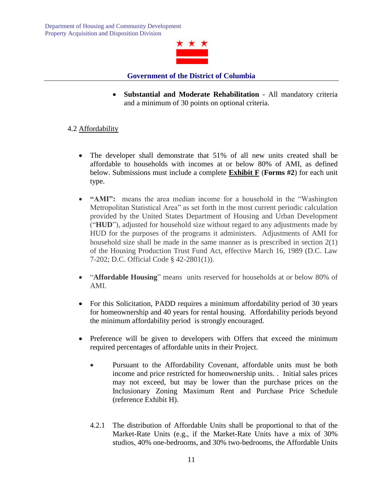

 **Substantial and Moderate Rehabilitation** - All mandatory criteria and a minimum of 30 points on optional criteria.

# 4.2 Affordability

- The developer shall demonstrate that 51% of all new units created shall be affordable to households with incomes at or below 80% of AMI, as defined below. Submissions must include a complete **Exhibit F** (**Forms #2**) for each unit type.
- **"AMI":** means the area median income for a household in the "Washington Metropolitan Statistical Area" as set forth in the most current periodic calculation provided by the United States Department of Housing and Urban Development ("**HUD**"), adjusted for household size without regard to any adjustments made by HUD for the purposes of the programs it administers. Adjustments of AMI for household size shall be made in the same manner as is prescribed in section 2(1) of the Housing Production Trust Fund Act, effective March 16, 1989 (D.C. Law 7-202; D.C. Official Code § 42-2801(1)).
- "**Affordable Housing**" means units reserved for households at or below 80% of AMI.
- For this Solicitation, PADD requires a minimum affordability period of 30 years for homeownership and 40 years for rental housing. Affordability periods beyond the minimum affordability period is strongly encouraged.
- Preference will be given to developers with Offers that exceed the minimum required percentages of affordable units in their Project.
	- Pursuant to the Affordability Covenant, affordable units must be both income and price restricted for homeownership units. . Initial sales prices may not exceed, but may be lower than the purchase prices on the Inclusionary Zoning Maximum Rent and Purchase Price Schedule (reference Exhibit H).
	- 4.2.1 The distribution of Affordable Units shall be proportional to that of the Market-Rate Units (e.g., if the Market-Rate Units have a mix of 30% studios, 40% one-bedrooms, and 30% two-bedrooms, the Affordable Units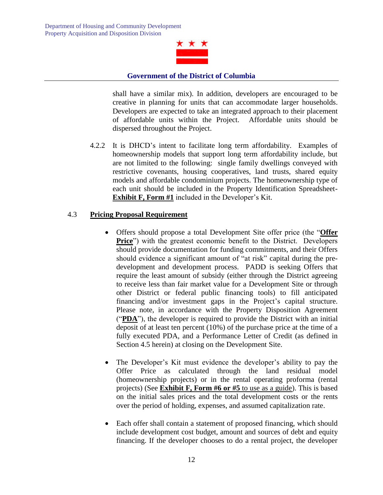

shall have a similar mix). In addition, developers are encouraged to be creative in planning for units that can accommodate larger households. Developers are expected to take an integrated approach to their placement of affordable units within the Project. Affordable units should be dispersed throughout the Project.

4.2.2 It is DHCD's intent to facilitate long term affordability. Examples of homeownership models that support long term affordability include, but are not limited to the following: single family dwellings conveyed with restrictive covenants, housing cooperatives, land trusts, shared equity models and affordable condominium projects. The homeownership type of each unit should be included in the Property Identification Spreadsheet-**Exhibit F, Form #1** included in the Developer's Kit.

# 4.3 **Pricing Proposal Requirement**

- Offers should propose a total Development Site offer price (the "**Offer Price**") with the greatest economic benefit to the District. Developers should provide documentation for funding commitments, and their Offers should evidence a significant amount of "at risk" capital during the predevelopment and development process. PADD is seeking Offers that require the least amount of subsidy (either through the District agreeing to receive less than fair market value for a Development Site or through other District or federal public financing tools) to fill anticipated financing and/or investment gaps in the Project's capital structure. Please note, in accordance with the Property Disposition Agreement ("**PDA**"), the developer is required to provide the District with an initial deposit of at least ten percent (10%) of the purchase price at the time of a fully executed PDA, and a Performance Letter of Credit (as defined in Section 4.5 herein) at closing on the Development Site.
- The Developer's Kit must evidence the developer's ability to pay the Offer Price as calculated through the land residual model (homeownership projects) or in the rental operating proforma (rental projects) (See **Exhibit F, Form #6 or #5** to use as a guide). This is based on the initial sales prices and the total development costs or the rents over the period of holding, expenses, and assumed capitalization rate.
- Each offer shall contain a statement of proposed financing, which should include development cost budget, amount and sources of debt and equity financing. If the developer chooses to do a rental project, the developer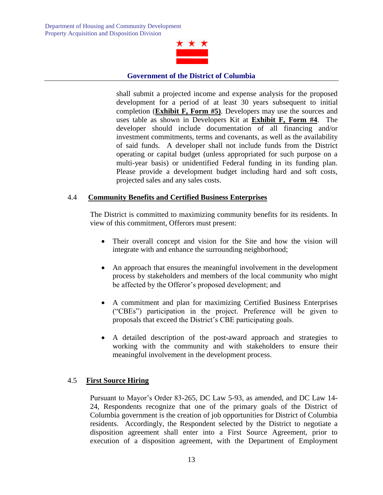

shall submit a projected income and expense analysis for the proposed development for a period of at least 30 years subsequent to initial completion (**Exhibit F, Form #5)**. Developers may use the sources and uses table as shown in Developers Kit at **Exhibit F, Form #4**. The developer should include documentation of all financing and/or investment commitments, terms and covenants, as well as the availability of said funds. A developer shall not include funds from the District operating or capital budget (unless appropriated for such purpose on a multi-year basis) or unidentified Federal funding in its funding plan. Please provide a development budget including hard and soft costs, projected sales and any sales costs.

#### 4.4 **Community Benefits and Certified Business Enterprises**

The District is committed to maximizing community benefits for its residents. In view of this commitment, Offerors must present:

- Their overall concept and vision for the Site and how the vision will integrate with and enhance the surrounding neighborhood;
- An approach that ensures the meaningful involvement in the development process by stakeholders and members of the local community who might be affected by the Offeror's proposed development; and
- A commitment and plan for maximizing Certified Business Enterprises ("CBEs") participation in the project. Preference will be given to proposals that exceed the District's CBE participating goals.
- A detailed description of the post-award approach and strategies to working with the community and with stakeholders to ensure their meaningful involvement in the development process.

#### 4.5 **First Source Hiring**

Pursuant to Mayor's Order 83-265, DC Law 5-93, as amended, and DC Law 14- 24, Respondents recognize that one of the primary goals of the District of Columbia government is the creation of job opportunities for District of Columbia residents. Accordingly, the Respondent selected by the District to negotiate a disposition agreement shall enter into a First Source Agreement, prior to execution of a disposition agreement, with the Department of Employment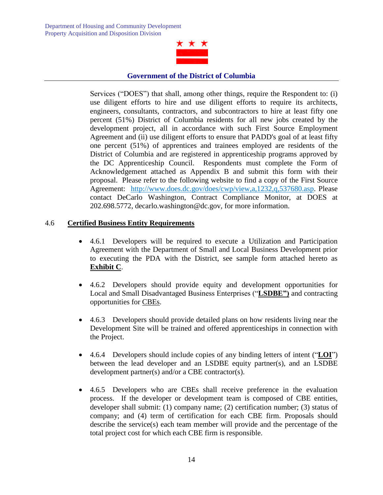

Services ("DOES") that shall, among other things, require the Respondent to: (i) use diligent efforts to hire and use diligent efforts to require its architects, engineers, consultants, contractors, and subcontractors to hire at least fifty one percent (51%) District of Columbia residents for all new jobs created by the development project, all in accordance with such First Source Employment Agreement and (ii) use diligent efforts to ensure that PADD's goal of at least fifty one percent (51%) of apprentices and trainees employed are residents of the District of Columbia and are registered in apprenticeship programs approved by the DC Apprenticeship Council. Respondents must complete the Form of Acknowledgement attached as Appendix B and submit this form with their proposal. Please refer to the following website to find a copy of the First Source Agreement: [http://www.does.dc.gov/does/cwp/view,a,1232,q,537680.asp.](http://www.does.dc.gov/does/cwp/view,a,1232,q,537680.asp) Please contact DeCarlo Washington, Contract Compliance Monitor, at DOES at 202.698.5772, decarlo.washington@dc.gov, for more information.

# 4.6 **Certified Business Entity Requirements**

- 4.6.1 Developers will be required to execute a Utilization and Participation Agreement with the Department of Small and Local Business Development prior to executing the PDA with the District, see sample form attached hereto as **Exhibit C**.
- 4.6.2 Developers should provide equity and development opportunities for Local and Small Disadvantaged Business Enterprises ("**LSDBE")** and contracting opportunities for CBEs.
- 4.6.3 Developers should provide detailed plans on how residents living near the Development Site will be trained and offered apprenticeships in connection with the Project.
- 4.6.4 Developers should include copies of any binding letters of intent ("**LOI**") between the lead developer and an LSDBE equity partner(s), and an LSDBE development partner(s) and/or a CBE contractor(s).
- 4.6.5 Developers who are CBEs shall receive preference in the evaluation process. If the developer or development team is composed of CBE entities, developer shall submit: (1) company name; (2) certification number; (3) status of company; and (4) term of certification for each CBE firm. Proposals should describe the service(s) each team member will provide and the percentage of the total project cost for which each CBE firm is responsible.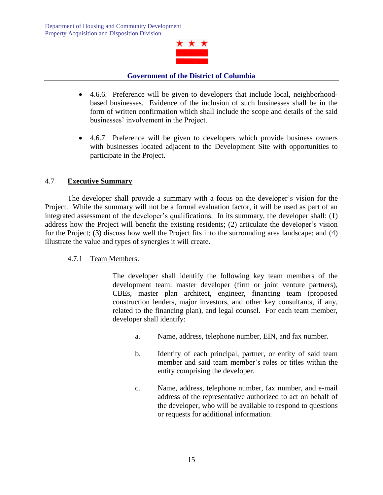

- 4.6.6. Preference will be given to developers that include local, neighborhoodbased businesses. Evidence of the inclusion of such businesses shall be in the form of written confirmation which shall include the scope and details of the said businesses' involvement in the Project.
- 4.6.7 Preference will be given to developers which provide business owners with businesses located adjacent to the Development Site with opportunities to participate in the Project.

# 4.7 **Executive Summary**

The developer shall provide a summary with a focus on the developer's vision for the Project. While the summary will not be a formal evaluation factor, it will be used as part of an integrated assessment of the developer's qualifications. In its summary, the developer shall: (1) address how the Project will benefit the existing residents; (2) articulate the developer's vision for the Project; (3) discuss how well the Project fits into the surrounding area landscape; and (4) illustrate the value and types of synergies it will create.

#### 4.7.1 Team Members.

The developer shall identify the following key team members of the development team: master developer (firm or joint venture partners), CBEs, master plan architect, engineer, financing team (proposed construction lenders, major investors, and other key consultants, if any, related to the financing plan), and legal counsel. For each team member, developer shall identify:

- a. Name, address, telephone number, EIN, and fax number.
- b. Identity of each principal, partner, or entity of said team member and said team member's roles or titles within the entity comprising the developer.
- c. Name, address, telephone number, fax number, and e-mail address of the representative authorized to act on behalf of the developer, who will be available to respond to questions or requests for additional information.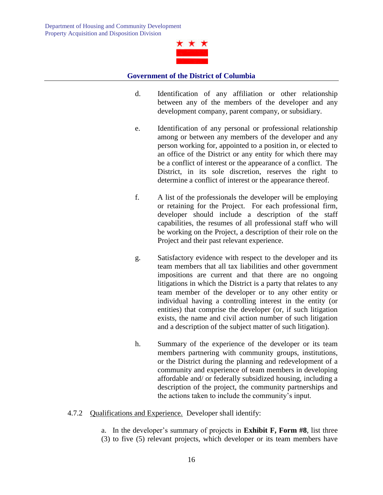

- d. Identification of any affiliation or other relationship between any of the members of the developer and any development company, parent company, or subsidiary.
- e. Identification of any personal or professional relationship among or between any members of the developer and any person working for, appointed to a position in, or elected to an office of the District or any entity for which there may be a conflict of interest or the appearance of a conflict. The District, in its sole discretion, reserves the right to determine a conflict of interest or the appearance thereof.
- f. A list of the professionals the developer will be employing or retaining for the Project. For each professional firm, developer should include a description of the staff capabilities, the resumes of all professional staff who will be working on the Project, a description of their role on the Project and their past relevant experience.
- g. Satisfactory evidence with respect to the developer and its team members that all tax liabilities and other government impositions are current and that there are no ongoing litigations in which the District is a party that relates to any team member of the developer or to any other entity or individual having a controlling interest in the entity (or entities) that comprise the developer (or, if such litigation exists, the name and civil action number of such litigation and a description of the subject matter of such litigation).
- h. Summary of the experience of the developer or its team members partnering with community groups, institutions, or the District during the planning and redevelopment of a community and experience of team members in developing affordable and/ or federally subsidized housing, including a description of the project, the community partnerships and the actions taken to include the community's input.
- 4.7.2 Qualifications and Experience. Developer shall identify:
	- a. In the developer's summary of projects in **Exhibit F, Form #8**, list three (3) to five (5) relevant projects, which developer or its team members have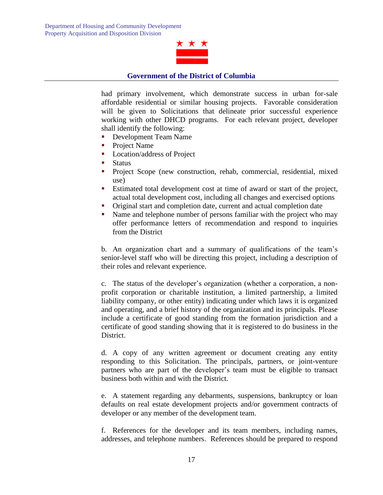

had primary involvement, which demonstrate success in urban for-sale affordable residential or similar housing projects. Favorable consideration will be given to Solicitations that delineate prior successful experience working with other DHCD programs. For each relevant project, developer shall identify the following:

- Development Team Name
- Project Name
- **Location/address of Project**
- **Status**
- **Project Scope (new construction, rehab, commercial, residential, mixed)** use)
- Estimated total development cost at time of award or start of the project, actual total development cost, including all changes and exercised options
- Original start and completion date, current and actual completion date
- Name and telephone number of persons familiar with the project who may offer performance letters of recommendation and respond to inquiries from the District

b. An organization chart and a summary of qualifications of the team's senior-level staff who will be directing this project, including a description of their roles and relevant experience.

c. The status of the developer's organization (whether a corporation, a nonprofit corporation or charitable institution, a limited partnership, a limited liability company, or other entity) indicating under which laws it is organized and operating, and a brief history of the organization and its principals. Please include a certificate of good standing from the formation jurisdiction and a certificate of good standing showing that it is registered to do business in the District.

d. A copy of any written agreement or document creating any entity responding to this Solicitation. The principals, partners, or joint-venture partners who are part of the developer's team must be eligible to transact business both within and with the District.

e. A statement regarding any debarments, suspensions, bankruptcy or loan defaults on real estate development projects and/or government contracts of developer or any member of the development team.

f. References for the developer and its team members, including names, addresses, and telephone numbers. References should be prepared to respond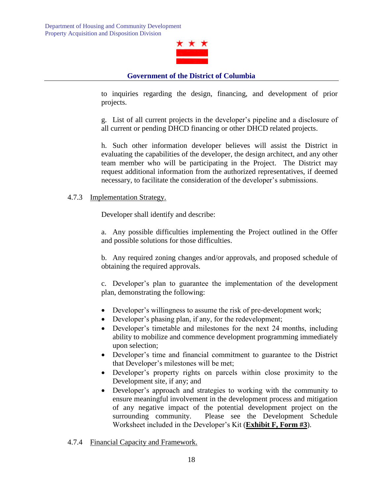

to inquiries regarding the design, financing, and development of prior projects.

g. List of all current projects in the developer's pipeline and a disclosure of all current or pending DHCD financing or other DHCD related projects.

h. Such other information developer believes will assist the District in evaluating the capabilities of the developer, the design architect, and any other team member who will be participating in the Project. The District may request additional information from the authorized representatives, if deemed necessary, to facilitate the consideration of the developer's submissions.

#### 4.7.3 Implementation Strategy.

Developer shall identify and describe:

a. Any possible difficulties implementing the Project outlined in the Offer and possible solutions for those difficulties.

b. Any required zoning changes and/or approvals, and proposed schedule of obtaining the required approvals.

c. Developer's plan to guarantee the implementation of the development plan, demonstrating the following:

- Developer's willingness to assume the risk of pre-development work;
- Developer's phasing plan, if any, for the redevelopment;
- Developer's timetable and milestones for the next 24 months, including ability to mobilize and commence development programming immediately upon selection;
- Developer's time and financial commitment to guarantee to the District that Developer's milestones will be met;
- Developer's property rights on parcels within close proximity to the Development site, if any; and
- Developer's approach and strategies to working with the community to ensure meaningful involvement in the development process and mitigation of any negative impact of the potential development project on the surrounding community. Please see the Development Schedule Worksheet included in the Developer's Kit (**Exhibit F, Form #3**).
- 4.7.4 Financial Capacity and Framework.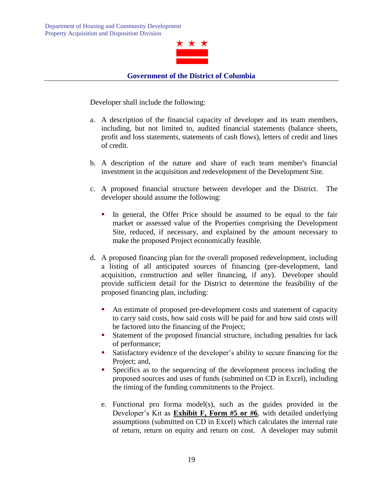

Developer shall include the following:

- a. A description of the financial capacity of developer and its team members, including, but not limited to, audited financial statements (balance sheets, profit and loss statements, statements of cash flows), letters of credit and lines of credit.
- b. A description of the nature and share of each team member's financial investment in the acquisition and redevelopment of the Development Site.
- c. A proposed financial structure between developer and the District. The developer should assume the following:
	- In general, the Offer Price should be assumed to be equal to the fair market or assessed value of the Properties comprising the Development Site, reduced, if necessary, and explained by the amount necessary to make the proposed Project economically feasible.
- d. A proposed financing plan for the overall proposed redevelopment, including a listing of all anticipated sources of financing (pre-development, land acquisition, construction and seller financing, if any). Developer should provide sufficient detail for the District to determine the feasibility of the proposed financing plan, including:
	- An estimate of proposed pre-development costs and statement of capacity to carry said costs, how said costs will be paid for and how said costs will be factored into the financing of the Project;
	- Statement of the proposed financial structure, including penalties for lack of performance;
	- Satisfactory evidence of the developer's ability to secure financing for the Project; and,
	- Specifics as to the sequencing of the development process including the proposed sources and uses of funds (submitted on CD in Excel), including the timing of the funding commitments to the Project.
	- e. Functional pro forma model(s), such as the guides provided in the Developer's Kit as **Exhibit F, Form #5 or #6**, with detailed underlying assumptions (submitted on CD in Excel) which calculates the internal rate of return, return on equity and return on cost. A developer may submit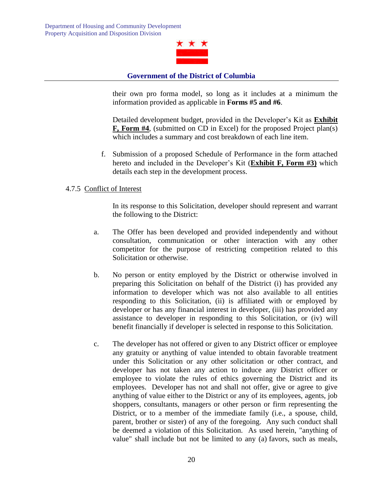

their own pro forma model, so long as it includes at a minimum the information provided as applicable in **Forms #5 and #6**.

Detailed development budget, provided in the Developer's Kit as **Exhibit F, Form #4**, (submitted on CD in Excel) for the proposed Project plan(s) which includes a summary and cost breakdown of each line item.

f. Submission of a proposed Schedule of Performance in the form attached hereto and included in the Developer's Kit (**Exhibit F, Form #3)** which details each step in the development process.

#### 4.7.5 Conflict of Interest

In its response to this Solicitation, developer should represent and warrant the following to the District:

- a. The Offer has been developed and provided independently and without consultation, communication or other interaction with any other competitor for the purpose of restricting competition related to this Solicitation or otherwise.
- b. No person or entity employed by the District or otherwise involved in preparing this Solicitation on behalf of the District (i) has provided any information to developer which was not also available to all entities responding to this Solicitation, (ii) is affiliated with or employed by developer or has any financial interest in developer, (iii) has provided any assistance to developer in responding to this Solicitation, or (iv) will benefit financially if developer is selected in response to this Solicitation.
- c. The developer has not offered or given to any District officer or employee any gratuity or anything of value intended to obtain favorable treatment under this Solicitation or any other solicitation or other contract, and developer has not taken any action to induce any District officer or employee to violate the rules of ethics governing the District and its employees. Developer has not and shall not offer, give or agree to give anything of value either to the District or any of its employees, agents, job shoppers, consultants, managers or other person or firm representing the District, or to a member of the immediate family (i.e., a spouse, child, parent, brother or sister) of any of the foregoing. Any such conduct shall be deemed a violation of this Solicitation. As used herein, "anything of value" shall include but not be limited to any (a) favors, such as meals,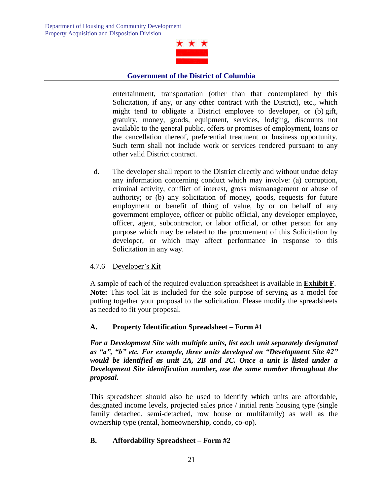

entertainment, transportation (other than that contemplated by this Solicitation, if any, or any other contract with the District), etc., which might tend to obligate a District employee to developer, or (b) gift, gratuity, money, goods, equipment, services, lodging, discounts not available to the general public, offers or promises of employment, loans or the cancellation thereof, preferential treatment or business opportunity. Such term shall not include work or services rendered pursuant to any other valid District contract.

d. The developer shall report to the District directly and without undue delay any information concerning conduct which may involve: (a) corruption, criminal activity, conflict of interest, gross mismanagement or abuse of authority; or (b) any solicitation of money, goods, requests for future employment or benefit of thing of value, by or on behalf of any government employee, officer or public official, any developer employee, officer, agent, subcontractor, or labor official, or other person for any purpose which may be related to the procurement of this Solicitation by developer, or which may affect performance in response to this Solicitation in any way.

# 4.7.6 Developer's Kit

A sample of each of the required evaluation spreadsheet is available in **Exhibit F**. **Note:** This tool kit is included for the sole purpose of serving as a model for putting together your proposal to the solicitation. Please modify the spreadsheets as needed to fit your proposal.

#### **A. Property Identification Spreadsheet – Form #1**

*For a Development Site with multiple units, list each unit separately designated as "a", "b" etc. For example, three units developed on "Development Site #2" would be identified as unit 2A, 2B and 2C. Once a unit is listed under a Development Site identification number, use the same number throughout the proposal.* 

This spreadsheet should also be used to identify which units are affordable, designated income levels, projected sales price / initial rents housing type (single family detached, semi-detached, row house or multifamily) as well as the ownership type (rental, homeownership, condo, co-op).

#### **B. Affordability Spreadsheet – Form #2**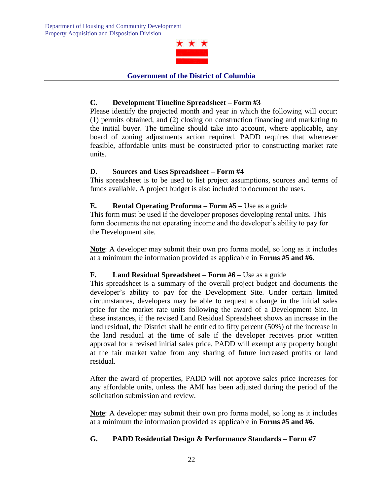

# **C. Development Timeline Spreadsheet – Form #3**

Please identify the projected month and year in which the following will occur: (1) permits obtained, and (2) closing on construction financing and marketing to the initial buyer. The timeline should take into account, where applicable, any board of zoning adjustments action required. PADD requires that whenever feasible, affordable units must be constructed prior to constructing market rate units.

#### **D. Sources and Uses Spreadsheet – Form #4**

This spreadsheet is to be used to list project assumptions, sources and terms of funds available. A project budget is also included to document the uses.

# **E. Rental Operating Proforma – Form #5 –** Use as a guide

This form must be used if the developer proposes developing rental units. This form documents the net operating income and the developer's ability to pay for the Development site.

**Note**: A developer may submit their own pro forma model, so long as it includes at a minimum the information provided as applicable in **Forms #5 and #6**.

#### **F. Land Residual Spreadsheet – Form #6 –** Use as a guide

This spreadsheet is a summary of the overall project budget and documents the developer's ability to pay for the Development Site. Under certain limited circumstances, developers may be able to request a change in the initial sales price for the market rate units following the award of a Development Site. In these instances, if the revised Land Residual Spreadsheet shows an increase in the land residual, the District shall be entitled to fifty percent (50%) of the increase in the land residual at the time of sale if the developer receives prior written approval for a revised initial sales price. PADD will exempt any property bought at the fair market value from any sharing of future increased profits or land residual.

After the award of properties, PADD will not approve sales price increases for any affordable units, unless the AMI has been adjusted during the period of the solicitation submission and review.

**Note**: A developer may submit their own pro forma model, so long as it includes at a minimum the information provided as applicable in **Forms #5 and #6**.

# **G. PADD Residential Design & Performance Standards – Form #7**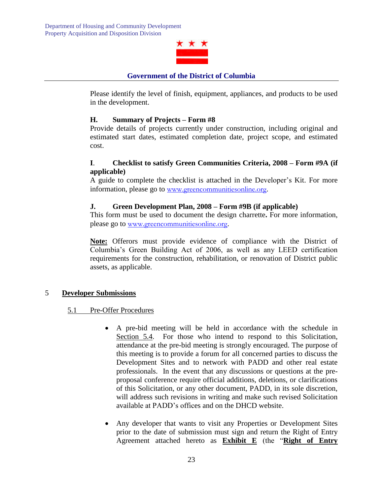

Please identify the level of finish, equipment, appliances, and products to be used in the development.

# **H. Summary of Projects – Form #8**

Provide details of projects currently under construction, including original and estimated start dates, estimated completion date, project scope, and estimated cost.

# **I**. **Checklist to satisfy Green Communities Criteria, 2008 – Form #9A (if applicable)**

A guide to complete the checklist is attached in the Developer's Kit. For more information, please go to [www.greencommunitiesonline.org](http://www.greencommunitiesonline.org/).

# **J. Green Development Plan, 2008 – Form #9B (if applicable)**

This form must be used to document the design charrette**.** For more information, please go to [www.greencommunitiesonline.org](http://www.greencommunitiesonline.org/).

**Note:** Offerors must provide evidence of compliance with the District of Columbia's Green Building Act of 2006, as well as any LEED certification requirements for the construction, rehabilitation, or renovation of District public assets, as applicable.

#### 5 **Developer Submissions**

#### 5.1 Pre-Offer Procedures

- A pre-bid meeting will be held in accordance with the schedule in Section 5.4. For those who intend to respond to this Solicitation, attendance at the pre-bid meeting is strongly encouraged. The purpose of this meeting is to provide a forum for all concerned parties to discuss the Development Sites and to network with PADD and other real estate professionals. In the event that any discussions or questions at the preproposal conference require official additions, deletions, or clarifications of this Solicitation, or any other document, PADD, in its sole discretion, will address such revisions in writing and make such revised Solicitation available at PADD's offices and on the DHCD website.
- Any developer that wants to visit any Properties or Development Sites prior to the date of submission must sign and return the Right of Entry Agreement attached hereto as **Exhibit E** (the "**Right of Entry**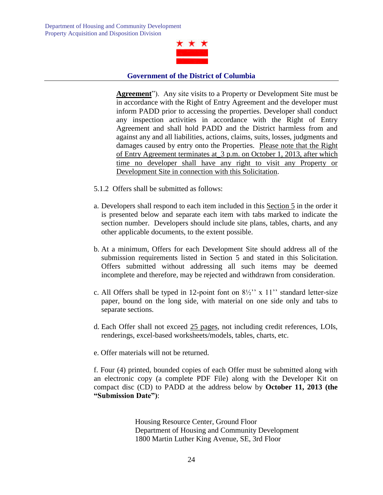

**Agreement**"). Any site visits to a Property or Development Site must be in accordance with the Right of Entry Agreement and the developer must inform PADD prior to accessing the properties. Developer shall conduct any inspection activities in accordance with the Right of Entry Agreement and shall hold PADD and the District harmless from and against any and all liabilities, actions, claims, suits, losses, judgments and damages caused by entry onto the Properties. Please note that the Right of Entry Agreement terminates at\_3 p.m. on October 1, 2013, after which time no developer shall have any right to visit any Property or Development Site in connection with this Solicitation.

- 5.1.2 Offers shall be submitted as follows:
- a. Developers shall respond to each item included in this Section 5 in the order it is presented below and separate each item with tabs marked to indicate the section number. Developers should include site plans, tables, charts, and any other applicable documents, to the extent possible.
- b. At a minimum, Offers for each Development Site should address all of the submission requirements listed in Section 5 and stated in this Solicitation. Offers submitted without addressing all such items may be deemed incomplete and therefore, may be rejected and withdrawn from consideration.
- c. All Offers shall be typed in 12-point font on  $8\frac{1}{2}$ " x 11" standard letter-size paper, bound on the long side, with material on one side only and tabs to separate sections.
- d. Each Offer shall not exceed 25 pages, not including credit references, LOIs, renderings, excel-based worksheets/models, tables, charts, etc.
- e. Offer materials will not be returned.

f. Four (4) printed, bounded copies of each Offer must be submitted along with an electronic copy (a complete PDF File) along with the Developer Kit on compact disc (CD) to PADD at the address below by **October 11, 2013 (the "Submission Date")**:

> Housing Resource Center, Ground Floor Department of Housing and Community Development 1800 Martin Luther King Avenue, SE, 3rd Floor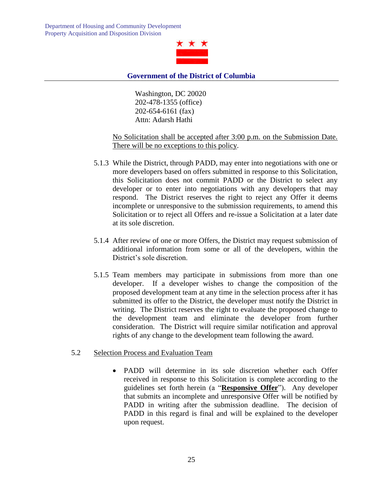

Washington, DC 20020 202-478-1355 (office) 202-654-6161 (fax) Attn: Adarsh Hathi

#### No Solicitation shall be accepted after 3:00 p.m. on the Submission Date. There will be no exceptions to this policy.

- 5.1.3 While the District, through PADD, may enter into negotiations with one or more developers based on offers submitted in response to this Solicitation, this Solicitation does not commit PADD or the District to select any developer or to enter into negotiations with any developers that may respond. The District reserves the right to reject any Offer it deems incomplete or unresponsive to the submission requirements, to amend this Solicitation or to reject all Offers and re-issue a Solicitation at a later date at its sole discretion.
- 5.1.4 After review of one or more Offers, the District may request submission of additional information from some or all of the developers, within the District's sole discretion.
- 5.1.5 Team members may participate in submissions from more than one developer. If a developer wishes to change the composition of the proposed development team at any time in the selection process after it has submitted its offer to the District, the developer must notify the District in writing. The District reserves the right to evaluate the proposed change to the development team and eliminate the developer from further consideration. The District will require similar notification and approval rights of any change to the development team following the award.

#### 5.2 Selection Process and Evaluation Team

 PADD will determine in its sole discretion whether each Offer received in response to this Solicitation is complete according to the guidelines set forth herein (a "**Responsive Offer**"). Any developer that submits an incomplete and unresponsive Offer will be notified by PADD in writing after the submission deadline. The decision of PADD in this regard is final and will be explained to the developer upon request.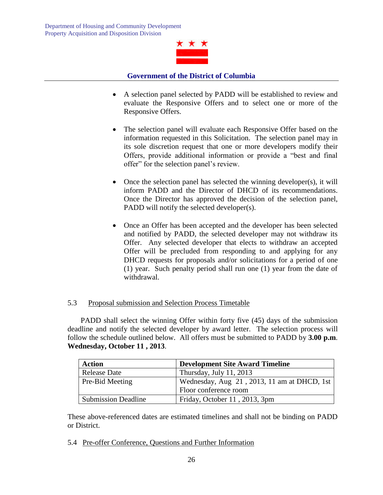

- A selection panel selected by PADD will be established to review and evaluate the Responsive Offers and to select one or more of the Responsive Offers.
- The selection panel will evaluate each Responsive Offer based on the information requested in this Solicitation. The selection panel may in its sole discretion request that one or more developers modify their Offers, provide additional information or provide a "best and final offer" for the selection panel's review.
- Once the selection panel has selected the winning developer(s), it will inform PADD and the Director of DHCD of its recommendations. Once the Director has approved the decision of the selection panel, PADD will notify the selected developer(s).
- Once an Offer has been accepted and the developer has been selected and notified by PADD, the selected developer may not withdraw its Offer. Any selected developer that elects to withdraw an accepted Offer will be precluded from responding to and applying for any DHCD requests for proposals and/or solicitations for a period of one (1) year. Such penalty period shall run one (1) year from the date of withdrawal.

#### 5.3 Proposal submission and Selection Process Timetable

 PADD shall select the winning Offer within forty five (45) days of the submission deadline and notify the selected developer by award letter. The selection process will follow the schedule outlined below. All offers must be submitted to PADD by **3.00 p.m**. **Wednesday, October 11 , 2013**.

| <b>Action</b>              | <b>Development Site Award Timeline</b>         |
|----------------------------|------------------------------------------------|
| <b>Release Date</b>        | Thursday, July 11, 2013                        |
| Pre-Bid Meeting            | Wednesday, Aug $21$ , 2013, 11 am at DHCD, 1st |
|                            | Floor conference room                          |
| <b>Submission Deadline</b> | Friday, October 11, 2013, 3pm                  |

These above-referenced dates are estimated timelines and shall not be binding on PADD or District.

5.4 Pre-offer Conference, Questions and Further Information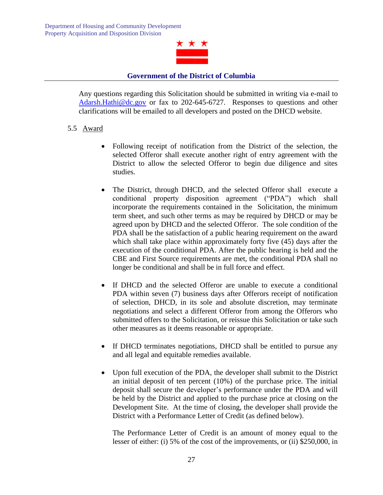

Any questions regarding this Solicitation should be submitted in writing via e-mail to [Adarsh.Hathi@dc.gov](mailto:Adarsh.Hathi@dc.gov) or fax to 202-645-6727. Responses to questions and other clarifications will be emailed to all developers and posted on the DHCD website.

# 5.5 Award

- Following receipt of notification from the District of the selection, the selected Offeror shall execute another right of entry agreement with the District to allow the selected Offeror to begin due diligence and sites studies.
- The District, through DHCD, and the selected Offeror shall execute a conditional property disposition agreement ("PDA") which shall incorporate the requirements contained in the Solicitation, the minimum term sheet, and such other terms as may be required by DHCD or may be agreed upon by DHCD and the selected Offeror. The sole condition of the PDA shall be the satisfaction of a public hearing requirement on the award which shall take place within approximately forty five (45) days after the execution of the conditional PDA. After the public hearing is held and the CBE and First Source requirements are met, the conditional PDA shall no longer be conditional and shall be in full force and effect.
- If DHCD and the selected Offeror are unable to execute a conditional PDA within seven (7) business days after Offerors receipt of notification of selection, DHCD, in its sole and absolute discretion, may terminate negotiations and select a different Offeror from among the Offerors who submitted offers to the Solicitation, or reissue this Solicitation or take such other measures as it deems reasonable or appropriate.
- If DHCD terminates negotiations, DHCD shall be entitled to pursue any and all legal and equitable remedies available.
- Upon full execution of the PDA, the developer shall submit to the District an initial deposit of ten percent (10%) of the purchase price. The initial deposit shall secure the developer's performance under the PDA and will be held by the District and applied to the purchase price at closing on the Development Site. At the time of closing, the developer shall provide the District with a Performance Letter of Credit (as defined below).

The Performance Letter of Credit is an amount of money equal to the lesser of either: (i) 5% of the cost of the improvements, or (ii) \$250,000, in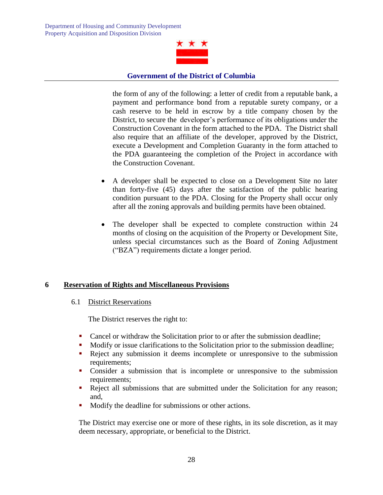

the form of any of the following: a letter of credit from a reputable bank, a payment and performance bond from a reputable surety company, or a cash reserve to be held in escrow by a title company chosen by the District, to secure the developer's performance of its obligations under the Construction Covenant in the form attached to the PDA. The District shall also require that an affiliate of the developer, approved by the District, execute a Development and Completion Guaranty in the form attached to the PDA guaranteeing the completion of the Project in accordance with the Construction Covenant.

- A developer shall be expected to close on a Development Site no later than forty-five (45) days after the satisfaction of the public hearing condition pursuant to the PDA. Closing for the Property shall occur only after all the zoning approvals and building permits have been obtained.
- The developer shall be expected to complete construction within 24 months of closing on the acquisition of the Property or Development Site, unless special circumstances such as the Board of Zoning Adjustment ("BZA") requirements dictate a longer period.

#### **6 Reservation of Rights and Miscellaneous Provisions**

#### 6.1 District Reservations

The District reserves the right to:

- Cancel or withdraw the Solicitation prior to or after the submission deadline;
- Modify or issue clarifications to the Solicitation prior to the submission deadline;
- Reject any submission it deems incomplete or unresponsive to the submission requirements;
- Consider a submission that is incomplete or unresponsive to the submission requirements:
- Reject all submissions that are submitted under the Solicitation for any reason; and,
- **Modify the deadline for submissions or other actions.**

The District may exercise one or more of these rights, in its sole discretion, as it may deem necessary, appropriate, or beneficial to the District.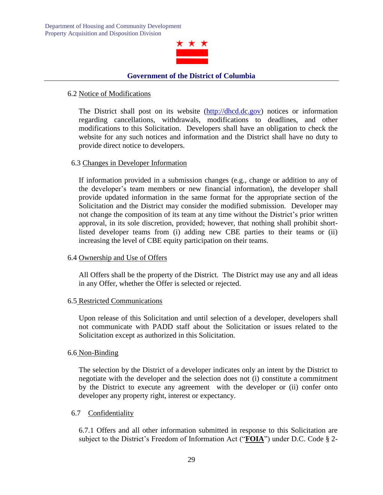

#### 6.2 Notice of Modifications

The District shall post on its website [\(http://dhcd.dc.gov\)](http://dhcd.dc.gov/) notices or information regarding cancellations, withdrawals, modifications to deadlines, and other modifications to this Solicitation. Developers shall have an obligation to check the website for any such notices and information and the District shall have no duty to provide direct notice to developers.

#### 6.3 Changes in Developer Information

If information provided in a submission changes (e.g., change or addition to any of the developer's team members or new financial information), the developer shall provide updated information in the same format for the appropriate section of the Solicitation and the District may consider the modified submission. Developer may not change the composition of its team at any time without the District's prior written approval, in its sole discretion, provided; however, that nothing shall prohibit shortlisted developer teams from (i) adding new CBE parties to their teams or (ii) increasing the level of CBE equity participation on their teams.

#### 6.4 Ownership and Use of Offers

All Offers shall be the property of the District. The District may use any and all ideas in any Offer, whether the Offer is selected or rejected.

#### 6.5 Restricted Communications

Upon release of this Solicitation and until selection of a developer, developers shall not communicate with PADD staff about the Solicitation or issues related to the Solicitation except as authorized in this Solicitation.

#### 6.6 Non-Binding

The selection by the District of a developer indicates only an intent by the District to negotiate with the developer and the selection does not (i) constitute a commitment by the District to execute any agreement with the developer or (ii) confer onto developer any property right, interest or expectancy.

#### 6.7 Confidentiality

6.7.1 Offers and all other information submitted in response to this Solicitation are subject to the District's Freedom of Information Act ("**FOIA**") under D.C. Code § 2-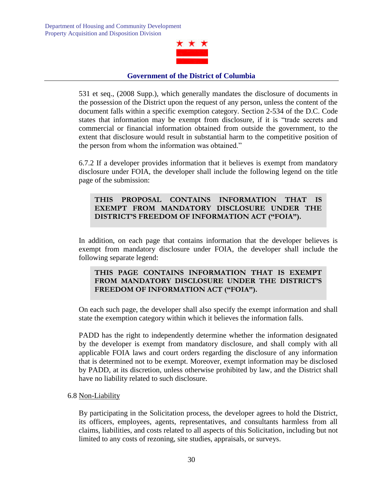

531 et seq., (2008 Supp.), which generally mandates the disclosure of documents in the possession of the District upon the request of any person, unless the content of the document falls within a specific exemption category. Section 2-534 of the D.C. Code states that information may be exempt from disclosure, if it is "trade secrets and commercial or financial information obtained from outside the government, to the extent that disclosure would result in substantial harm to the competitive position of the person from whom the information was obtained."

6.7.2 If a developer provides information that it believes is exempt from mandatory disclosure under FOIA, the developer shall include the following legend on the title page of the submission:

# **THIS PROPOSAL CONTAINS INFORMATION THAT IS EXEMPT FROM MANDATORY DISCLOSURE UNDER THE DISTRICT'S FREEDOM OF INFORMATION ACT ("FOIA").**

In addition, on each page that contains information that the developer believes is exempt from mandatory disclosure under FOIA, the developer shall include the following separate legend:

# **THIS PAGE CONTAINS INFORMATION THAT IS EXEMPT FROM MANDATORY DISCLOSURE UNDER THE DISTRICT'S FREEDOM OF INFORMATION ACT ("FOIA").**

On each such page, the developer shall also specify the exempt information and shall state the exemption category within which it believes the information falls.

PADD has the right to independently determine whether the information designated by the developer is exempt from mandatory disclosure, and shall comply with all applicable FOIA laws and court orders regarding the disclosure of any information that is determined not to be exempt. Moreover, exempt information may be disclosed by PADD, at its discretion, unless otherwise prohibited by law, and the District shall have no liability related to such disclosure.

#### 6.8 Non-Liability

By participating in the Solicitation process, the developer agrees to hold the District, its officers, employees, agents, representatives, and consultants harmless from all claims, liabilities, and costs related to all aspects of this Solicitation, including but not limited to any costs of rezoning, site studies, appraisals, or surveys.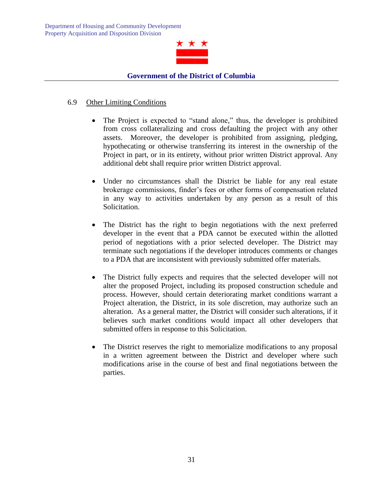

# 6.9 Other Limiting Conditions

- The Project is expected to "stand alone," thus, the developer is prohibited from cross collateralizing and cross defaulting the project with any other assets. Moreover, the developer is prohibited from assigning, pledging, hypothecating or otherwise transferring its interest in the ownership of the Project in part, or in its entirety, without prior written District approval. Any additional debt shall require prior written District approval.
- Under no circumstances shall the District be liable for any real estate brokerage commissions, finder's fees or other forms of compensation related in any way to activities undertaken by any person as a result of this Solicitation.
- The District has the right to begin negotiations with the next preferred developer in the event that a PDA cannot be executed within the allotted period of negotiations with a prior selected developer. The District may terminate such negotiations if the developer introduces comments or changes to a PDA that are inconsistent with previously submitted offer materials.
- The District fully expects and requires that the selected developer will not alter the proposed Project, including its proposed construction schedule and process. However, should certain deteriorating market conditions warrant a Project alteration, the District, in its sole discretion, may authorize such an alteration. As a general matter, the District will consider such alterations, if it believes such market conditions would impact all other developers that submitted offers in response to this Solicitation.
- The District reserves the right to memorialize modifications to any proposal in a written agreement between the District and developer where such modifications arise in the course of best and final negotiations between the parties.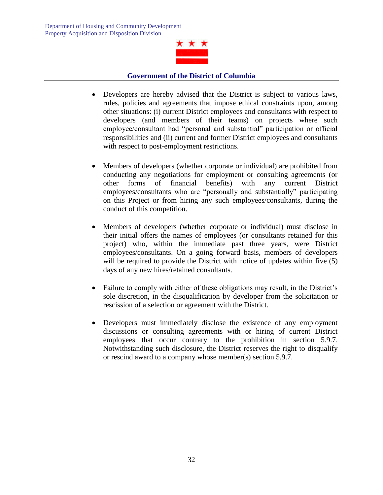

- Developers are hereby advised that the District is subject to various laws, rules, policies and agreements that impose ethical constraints upon, among other situations: (i) current District employees and consultants with respect to developers (and members of their teams) on projects where such employee/consultant had "personal and substantial" participation or official responsibilities and (ii) current and former District employees and consultants with respect to post-employment restrictions.
- Members of developers (whether corporate or individual) are prohibited from conducting any negotiations for employment or consulting agreements (or other forms of financial benefits) with any current District employees/consultants who are "personally and substantially" participating on this Project or from hiring any such employees/consultants, during the conduct of this competition.
- Members of developers (whether corporate or individual) must disclose in their initial offers the names of employees (or consultants retained for this project) who, within the immediate past three years, were District employees/consultants. On a going forward basis, members of developers will be required to provide the District with notice of updates within five (5) days of any new hires/retained consultants.
- Failure to comply with either of these obligations may result, in the District's sole discretion, in the disqualification by developer from the solicitation or rescission of a selection or agreement with the District.
- Developers must immediately disclose the existence of any employment discussions or consulting agreements with or hiring of current District employees that occur contrary to the prohibition in section 5.9.7. Notwithstanding such disclosure, the District reserves the right to disqualify or rescind award to a company whose member(s) section 5.9.7.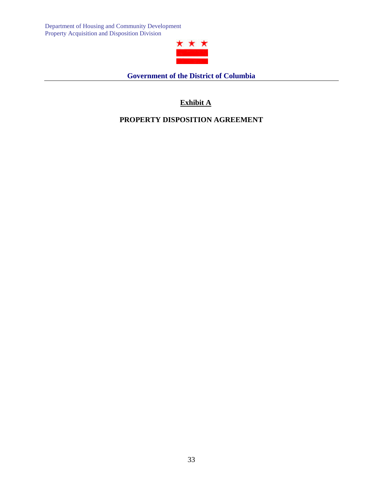

**Government of the District of Columbia**

# **Exhibit A**

# **PROPERTY DISPOSITION AGREEMENT**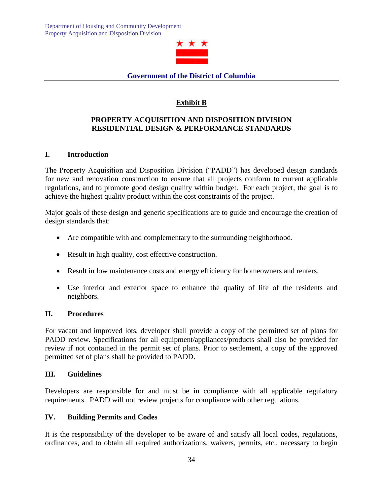

# **Exhibit B**

# **PROPERTY ACQUISITION AND DISPOSITION DIVISION RESIDENTIAL DESIGN & PERFORMANCE STANDARDS**

# **I. Introduction**

The Property Acquisition and Disposition Division ("PADD") has developed design standards for new and renovation construction to ensure that all projects conform to current applicable regulations, and to promote good design quality within budget. For each project, the goal is to achieve the highest quality product within the cost constraints of the project.

Major goals of these design and generic specifications are to guide and encourage the creation of design standards that:

- Are compatible with and complementary to the surrounding neighborhood.
- Result in high quality, cost effective construction.
- Result in low maintenance costs and energy efficiency for homeowners and renters.
- Use interior and exterior space to enhance the quality of life of the residents and neighbors.

#### **II. Procedures**

For vacant and improved lots, developer shall provide a copy of the permitted set of plans for PADD review. Specifications for all equipment/appliances/products shall also be provided for review if not contained in the permit set of plans. Prior to settlement, a copy of the approved permitted set of plans shall be provided to PADD.

#### **III. Guidelines**

Developers are responsible for and must be in compliance with all applicable regulatory requirements. PADD will not review projects for compliance with other regulations.

#### **IV. Building Permits and Codes**

It is the responsibility of the developer to be aware of and satisfy all local codes, regulations, ordinances, and to obtain all required authorizations, waivers, permits, etc., necessary to begin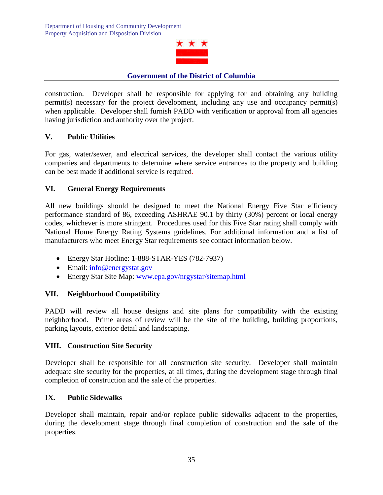

construction. Developer shall be responsible for applying for and obtaining any building permit(s) necessary for the project development, including any use and occupancy permit(s) when applicable. Developer shall furnish PADD with verification or approval from all agencies having jurisdiction and authority over the project.

# **V. Public Utilities**

For gas, water/sewer, and electrical services, the developer shall contact the various utility companies and departments to determine where service entrances to the property and building can be best made if additional service is required.

# **VI. General Energy Requirements**

All new buildings should be designed to meet the National Energy Five Star efficiency performance standard of 86, exceeding ASHRAE 90.1 by thirty (30%) percent or local energy codes, whichever is more stringent. Procedures used for this Five Star rating shall comply with National Home Energy Rating Systems guidelines. For additional information and a list of manufacturers who meet Energy Star requirements see contact information below.

- Energy Star Hotline: 1-888-STAR-YES (782-7937)
- Email: [info@energystat.gov](mailto:info@energystat.gov)
- Energy Star Site Map: [www.epa.gov/nrgystar/sitemap.html](http://www.epa.gov/nrgystar/sitemap.html)

# **VII. Neighborhood Compatibility**

PADD will review all house designs and site plans for compatibility with the existing neighborhood. Prime areas of review will be the site of the building, building proportions, parking layouts, exterior detail and landscaping.

#### **VIII. Construction Site Security**

Developer shall be responsible for all construction site security. Developer shall maintain adequate site security for the properties, at all times, during the development stage through final completion of construction and the sale of the properties.

#### **IX. Public Sidewalks**

Developer shall maintain, repair and/or replace public sidewalks adjacent to the properties, during the development stage through final completion of construction and the sale of the properties.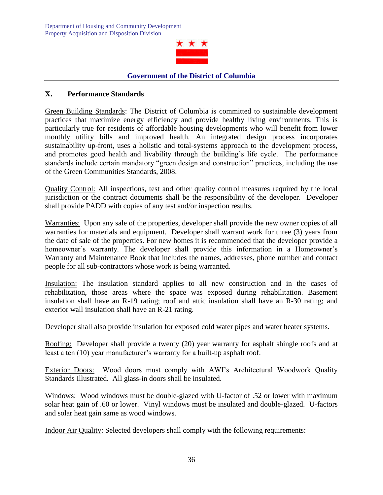

# **X. Performance Standards**

Green Building Standards: The District of Columbia is committed to sustainable development practices that maximize energy efficiency and provide healthy living environments. This is particularly true for residents of affordable housing developments who will benefit from lower monthly utility bills and improved health. An integrated design process incorporates sustainability up-front, uses a holistic and total-systems approach to the development process, and promotes good health and livability through the building's life cycle. The performance standards include certain mandatory "green design and construction" practices, including the use of the Green Communities Standards, 2008.

Quality Control: All inspections, test and other quality control measures required by the local jurisdiction or the contract documents shall be the responsibility of the developer. Developer shall provide PADD with copies of any test and/or inspection results.

Warranties: Upon any sale of the properties, developer shall provide the new owner copies of all warranties for materials and equipment. Developer shall warrant work for three (3) years from the date of sale of the properties. For new homes it is recommended that the developer provide a homeowner's warranty. The developer shall provide this information in a Homeowner's Warranty and Maintenance Book that includes the names, addresses, phone number and contact people for all sub-contractors whose work is being warranted.

Insulation: The insulation standard applies to all new construction and in the cases of rehabilitation, those areas where the space was exposed during rehabilitation. Basement insulation shall have an R-19 rating; roof and attic insulation shall have an R-30 rating; and exterior wall insulation shall have an R-21 rating.

Developer shall also provide insulation for exposed cold water pipes and water heater systems.

Roofing: Developer shall provide a twenty (20) year warranty for asphalt shingle roofs and at least a ten (10) year manufacturer's warranty for a built-up asphalt roof.

Exterior Doors: Wood doors must comply with AWI's Architectural Woodwork Quality Standards Illustrated. All glass-in doors shall be insulated.

Windows: Wood windows must be double-glazed with U-factor of .52 or lower with maximum solar heat gain of .60 or lower. Vinyl windows must be insulated and double-glazed. U-factors and solar heat gain same as wood windows.

Indoor Air Quality: Selected developers shall comply with the following requirements: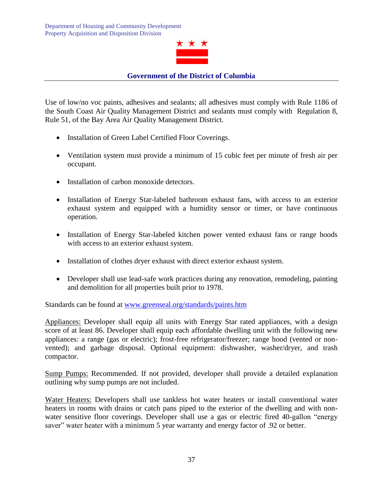

Use of low/no voc paints, adhesives and sealants; all adhesives must comply with Rule 1186 of the South Coast Air Quality Management District and sealants must comply with Regulation 8, Rule 51, of the Bay Area Air Quality Management District.

- Installation of Green Label Certified Floor Coverings.
- Ventilation system must provide a minimum of 15 cubic feet per minute of fresh air per occupant.
- Installation of carbon monoxide detectors.
- Installation of Energy Star-labeled bathroom exhaust fans, with access to an exterior exhaust system and equipped with a humidity sensor or timer, or have continuous operation.
- Installation of Energy Star-labeled kitchen power vented exhaust fans or range hoods with access to an exterior exhaust system.
- Installation of clothes dryer exhaust with direct exterior exhaust system.
- Developer shall use lead-safe work practices during any renovation, remodeling, painting and demolition for all properties built prior to 1978.

Standards can be found at [www.greenseal.org/standards/paints.htm](http://www.greenseal.org/standards/paints.htm)

Appliances: Developer shall equip all units with Energy Star rated appliances, with a design score of at least 86. Developer shall equip each affordable dwelling unit with the following new appliances: a range (gas or electric); frost-free refrigerator/freezer; range hood (vented or nonvented); and garbage disposal. Optional equipment: dishwasher, washer/dryer, and trash compactor.

Sump Pumps: Recommended. If not provided, developer shall provide a detailed explanation outlining why sump pumps are not included.

Water Heaters: Developers shall use tankless hot water heaters or install conventional water heaters in rooms with drains or catch pans piped to the exterior of the dwelling and with nonwater sensitive floor coverings. Developer shall use a gas or electric fired 40-gallon "energy saver" water heater with a minimum 5 year warranty and energy factor of .92 or better.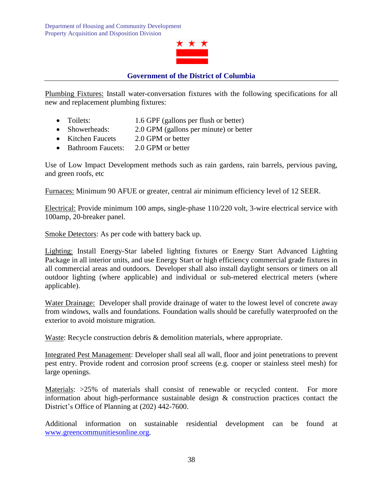

Plumbing Fixtures: Install water-conversation fixtures with the following specifications for all new and replacement plumbing fixtures:

- Toilets: 1.6 GPF (gallons per flush or better)
- Showerheads: 2.0 GPM (gallons per minute) or better
- Kitchen Faucets 2.0 GPM or better
- Bathroom Faucets: 2.0 GPM or better

Use of Low Impact Development methods such as rain gardens, rain barrels, pervious paving, and green roofs, etc

Furnaces: Minimum 90 AFUE or greater, central air minimum efficiency level of 12 SEER.

Electrical: Provide minimum 100 amps, single-phase 110/220 volt, 3-wire electrical service with 100amp, 20-breaker panel.

Smoke Detectors: As per code with battery back up.

Lighting: Install Energy-Star labeled lighting fixtures or Energy Start Advanced Lighting Package in all interior units, and use Energy Start or high efficiency commercial grade fixtures in all commercial areas and outdoors. Developer shall also install daylight sensors or timers on all outdoor lighting (where applicable) and individual or sub-metered electrical meters (where applicable).

Water Drainage: Developer shall provide drainage of water to the lowest level of concrete away from windows, walls and foundations. Foundation walls should be carefully waterproofed on the exterior to avoid moisture migration.

Waste: Recycle construction debris & demolition materials, where appropriate.

Integrated Pest Management: Developer shall seal all wall, floor and joint penetrations to prevent pest entry. Provide rodent and corrosion proof screens (e.g. cooper or stainless steel mesh) for large openings.

Materials:  $>25\%$  of materials shall consist of renewable or recycled content. For more information about high-performance sustainable design & construction practices contact the District's Office of Planning at (202) 442-7600.

Additional information on sustainable residential development can be found at [www.greencommunitiesonline.org.](http://www.greencommunitiesonline.org/)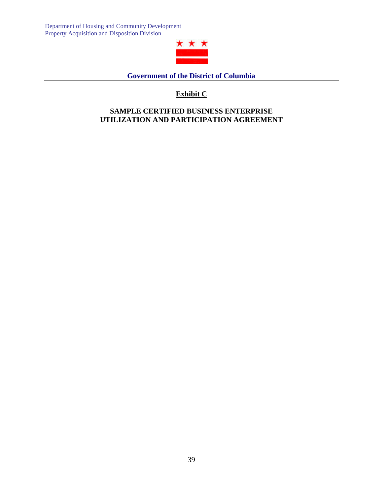

**Government of the District of Columbia**

# **Exhibit C**

# **SAMPLE CERTIFIED BUSINESS ENTERPRISE UTILIZATION AND PARTICIPATION AGREEMENT**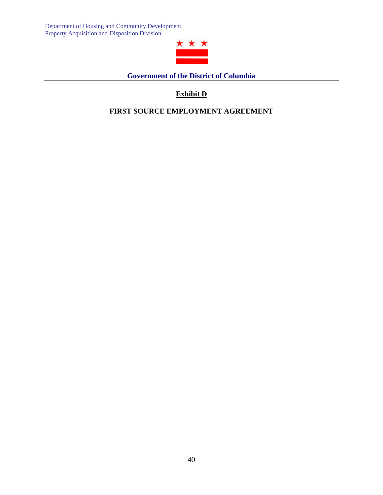

**Government of the District of Columbia**

# **Exhibit D**

**FIRST SOURCE EMPLOYMENT AGREEMENT**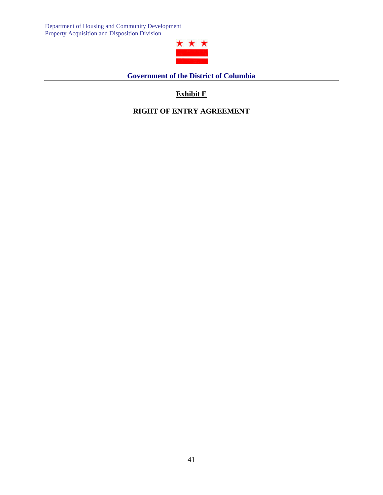

**Government of the District of Columbia**

# **Exhibit E**

**RIGHT OF ENTRY AGREEMENT**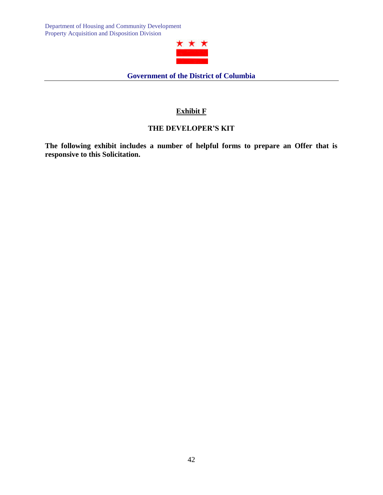

# **Exhibit F**

# **THE DEVELOPER'S KIT**

**The following exhibit includes a number of helpful forms to prepare an Offer that is responsive to this Solicitation.**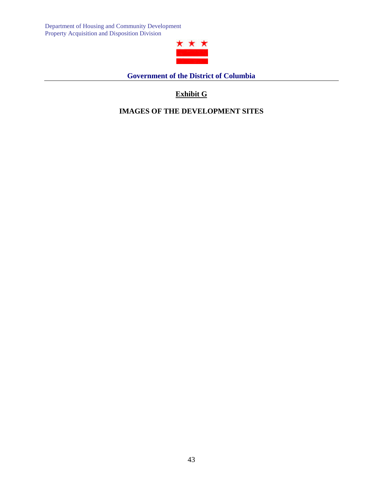

**Government of the District of Columbia**

# **Exhibit G**

**IMAGES OF THE DEVELOPMENT SITES**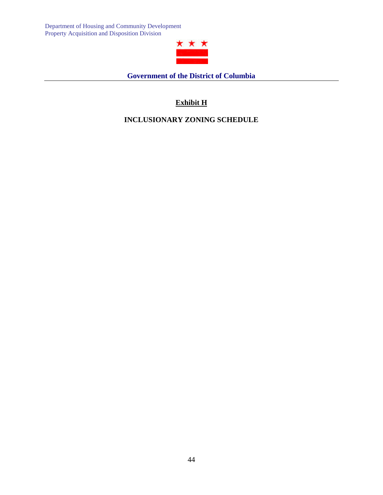

**Government of the District of Columbia**

# **Exhibit H**

# **INCLUSIONARY ZONING SCHEDULE**